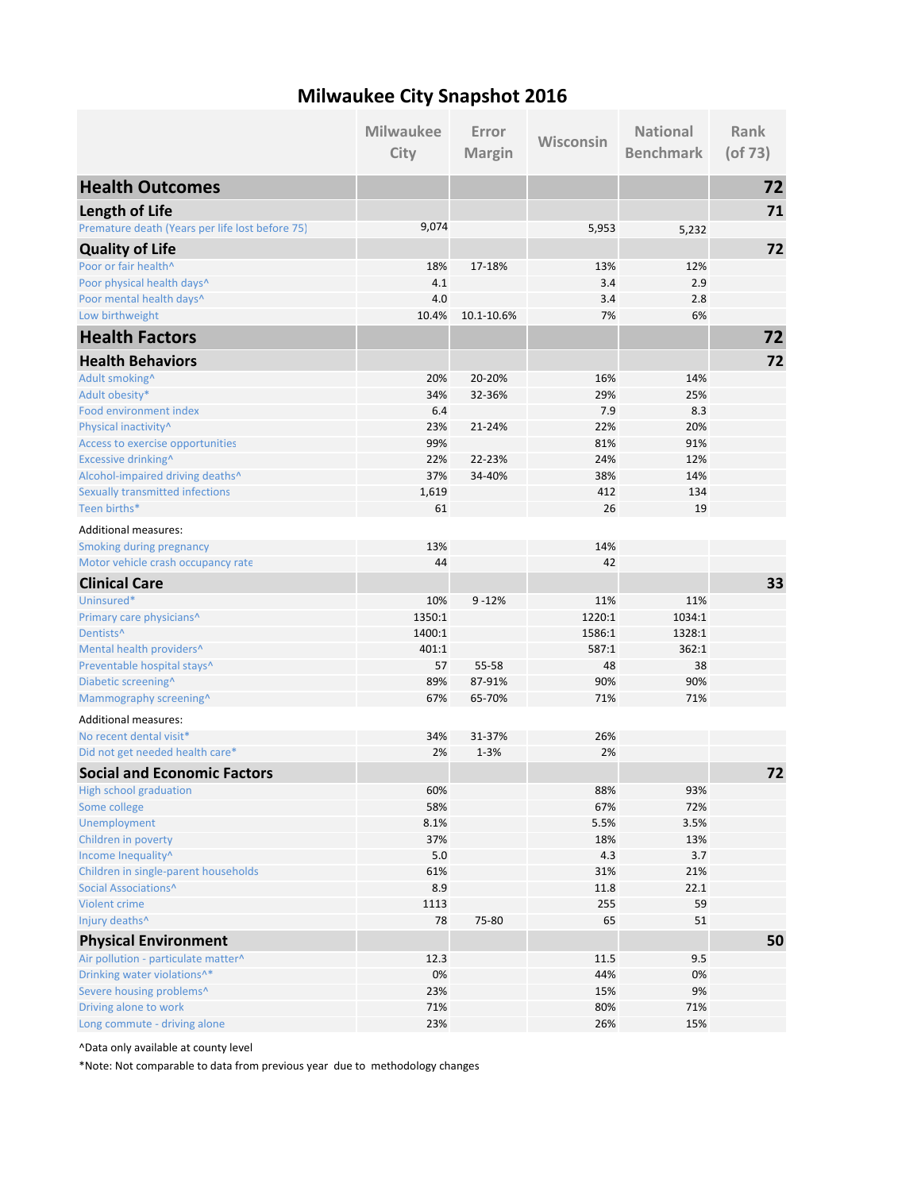## **Milwaukee City Snapshot 2016**

|                                                 | <b>Milwaukee</b> | Error         |           | <b>National</b>  | Rank          |
|-------------------------------------------------|------------------|---------------|-----------|------------------|---------------|
|                                                 | City             | <b>Margin</b> | Wisconsin | <b>Benchmark</b> | $($ of 73 $)$ |
| <b>Health Outcomes</b>                          |                  |               |           |                  | 72            |
| Length of Life                                  |                  |               |           |                  | 71            |
| Premature death (Years per life lost before 75) | 9,074            |               | 5,953     | 5,232            |               |
| <b>Quality of Life</b>                          |                  |               |           |                  | 72            |
| Poor or fair health^                            | 18%              | 17-18%        | 13%       | 12%              |               |
| Poor physical health days^                      | 4.1              |               | 3.4       | 2.9              |               |
| Poor mental health days^                        | 4.0              |               | 3.4       | 2.8              |               |
| Low birthweight                                 | 10.4%            | 10.1-10.6%    | 7%        | 6%               |               |
| <b>Health Factors</b>                           |                  |               |           |                  | 72            |
| <b>Health Behaviors</b>                         |                  |               |           |                  | 72            |
| Adult smoking^                                  | 20%              | 20-20%        | 16%       | 14%              |               |
| Adult obesity*                                  | 34%              | 32-36%        | 29%       | 25%              |               |
| Food environment index                          | 6.4              |               | 7.9       | 8.3              |               |
| Physical inactivity^                            | 23%              | 21-24%        | 22%       | 20%              |               |
| Access to exercise opportunities                | 99%              |               | 81%       | 91%              |               |
| Excessive drinking^                             | 22%              | 22-23%        | 24%       | 12%              |               |
| Alcohol-impaired driving deaths^                | 37%              | 34-40%        | 38%       | 14%              |               |
| <b>Sexually transmitted infections</b>          | 1,619            |               | 412       | 134              |               |
| Teen births*                                    | 61               |               | 26        | 19               |               |
| <b>Additional measures:</b>                     |                  |               |           |                  |               |
| <b>Smoking during pregnancy</b>                 | 13%              |               | 14%       |                  |               |
| Motor vehicle crash occupancy rate              | 44               |               | 42        |                  |               |
| <b>Clinical Care</b>                            |                  |               |           |                  | 33            |
| Uninsured*                                      | 10%              | $9 - 12%$     | 11%       | 11%              |               |
| Primary care physicians <sup>^</sup>            | 1350:1           |               | 1220:1    | 1034:1           |               |
| Dentists <sup>^</sup>                           | 1400:1           |               | 1586:1    | 1328:1           |               |
| Mental health providers^                        | 401:1            |               | 587:1     | 362:1            |               |
| Preventable hospital stays^                     | 57               | 55-58         | 48        | 38               |               |
| Diabetic screening^                             | 89%              | 87-91%        | 90%       | 90%              |               |
| Mammography screening^                          | 67%              | 65-70%        | 71%       | 71%              |               |
| <b>Additional measures:</b>                     |                  |               |           |                  |               |
| No recent dental visit*                         | 34%              | 31-37%        | 26%       |                  |               |
| Did not get needed health care*                 | 2%               | $1 - 3%$      | 2%        |                  |               |
| <b>Social and Economic Factors</b>              |                  |               |           |                  | 72            |
| High school graduation                          | 60%              |               | 88%       | 93%              |               |
| Some college                                    | 58%              |               | 67%       | 72%              |               |
| Unemployment                                    | 8.1%             |               | 5.5%      | 3.5%             |               |
| Children in poverty                             | 37%              |               | 18%       | 13%              |               |
| Income Inequality^                              | $5.0$            |               | 4.3       | 3.7              |               |
| Children in single-parent households            | 61%              |               | 31%       | 21%              |               |
| Social Associations^                            | 8.9              |               | 11.8      | 22.1             |               |
| Violent crime                                   | 1113             |               | 255       | 59               |               |
| Injury deaths^                                  | 78               | 75-80         | 65        | 51               |               |
| <b>Physical Environment</b>                     |                  |               |           |                  | 50            |
| Air pollution - particulate matter^             | 12.3             |               | 11.5      | 9.5              |               |
| Drinking water violations^*                     | 0%               |               | 44%       | 0%               |               |
| Severe housing problems^                        | 23%              |               | 15%       | 9%               |               |
| Driving alone to work                           | 71%              |               | 80%       | 71%              |               |
| Long commute - driving alone                    | 23%              |               | 26%       | 15%              |               |

^Data only available at county level

\*Note: Not comparable to data from previous year due to methodology changes